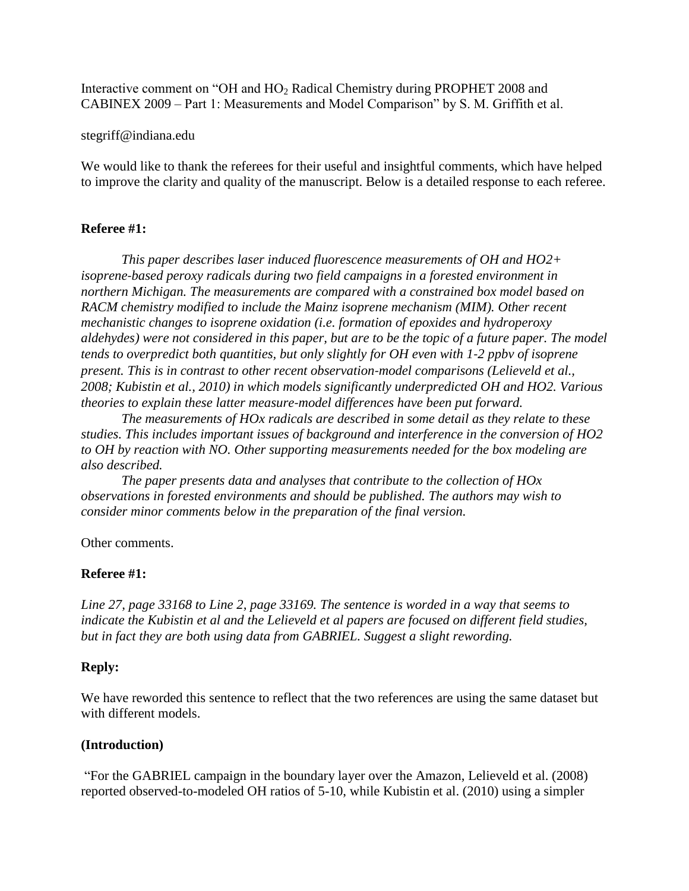Interactive comment on "OH and HO<sup>2</sup> Radical Chemistry during PROPHET 2008 and CABINEX 2009 – Part 1: Measurements and Model Comparison" by S. M. Griffith et al.

#### stegriff@indiana.edu

We would like to thank the referees for their useful and insightful comments, which have helped to improve the clarity and quality of the manuscript. Below is a detailed response to each referee.

### **Referee #1:**

*This paper describes laser induced fluorescence measurements of OH and HO2+ isoprene‐based peroxy radicals during two field campaigns in a forested environment in northern Michigan. The measurements are compared with a constrained box model based on RACM chemistry modified to include the Mainz isoprene mechanism (MIM). Other recent mechanistic changes to isoprene oxidation (i.e. formation of epoxides and hydroperoxy aldehydes) were not considered in this paper, but are to be the topic of a future paper. The model tends to overpredict both quantities, but only slightly for OH even with 1‐2 ppbv of isoprene present. This is in contrast to other recent observation‐model comparisons (Lelieveld et al., 2008; Kubistin et al., 2010) in which models significantly underpredicted OH and HO2. Various theories to explain these latter measure‐model differences have been put forward.*

*The measurements of HOx radicals are described in some detail as they relate to these studies. This includes important issues of background and interference in the conversion of HO2 to OH by reaction with NO. Other supporting measurements needed for the box modeling are also described.*

*The paper presents data and analyses that contribute to the collection of HOx observations in forested environments and should be published. The authors may wish to consider minor comments below in the preparation of the final version.*

### Other comments.

### **Referee #1:**

*Line 27, page 33168 to Line 2, page 33169. The sentence is worded in a way that seems to indicate the Kubistin et al and the Lelieveld et al papers are focused on different field studies, but in fact they are both using data from GABRIEL. Suggest a slight rewording.*

### **Reply:**

We have reworded this sentence to reflect that the two references are using the same dataset but with different models.

### **(Introduction)**

"For the GABRIEL campaign in the boundary layer over the Amazon, Lelieveld et al. (2008) reported observed-to-modeled OH ratios of 5-10, while Kubistin et al. (2010) using a simpler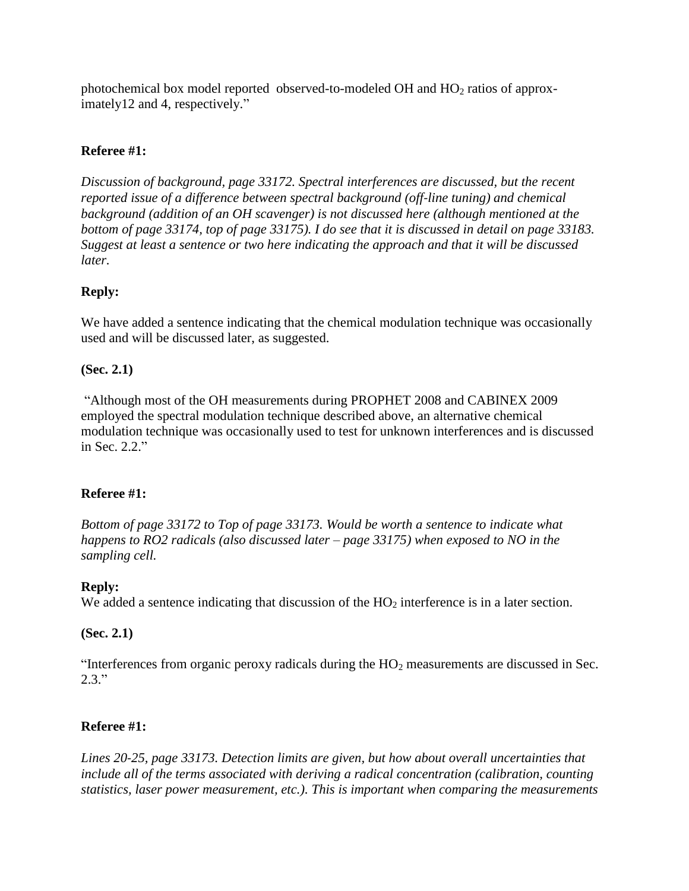photochemical box model reported observed-to-modeled OH and  $HO<sub>2</sub>$  ratios of approximately12 and 4, respectively."

# **Referee #1:**

*Discussion of background, page 33172. Spectral interferences are discussed, but the recent reported issue of a difference between spectral background (off‐line tuning) and chemical background (addition of an OH scavenger) is not discussed here (although mentioned at the bottom of page 33174, top of page 33175). I do see that it is discussed in detail on page 33183. Suggest at least a sentence or two here indicating the approach and that it will be discussed later.*

# **Reply:**

We have added a sentence indicating that the chemical modulation technique was occasionally used and will be discussed later, as suggested.

# **(Sec. 2.1)**

"Although most of the OH measurements during PROPHET 2008 and CABINEX 2009 employed the spectral modulation technique described above, an alternative chemical modulation technique was occasionally used to test for unknown interferences and is discussed in Sec. 2.2."

### **Referee #1:**

*Bottom of page 33172 to Top of page 33173. Would be worth a sentence to indicate what happens to RO2 radicals (also discussed later – page 33175) when exposed to NO in the sampling cell.*

### **Reply:**

We added a sentence indicating that discussion of the  $HO<sub>2</sub>$  interference is in a later section.

### **(Sec. 2.1)**

"Interferences from organic peroxy radicals during the  $HO<sub>2</sub>$  measurements are discussed in Sec.  $2.3."$ 

# **Referee #1:**

*Lines 20‐25, page 33173. Detection limits are given, but how about overall uncertainties that include all of the terms associated with deriving a radical concentration (calibration, counting statistics, laser power measurement, etc.). This is important when comparing the measurements*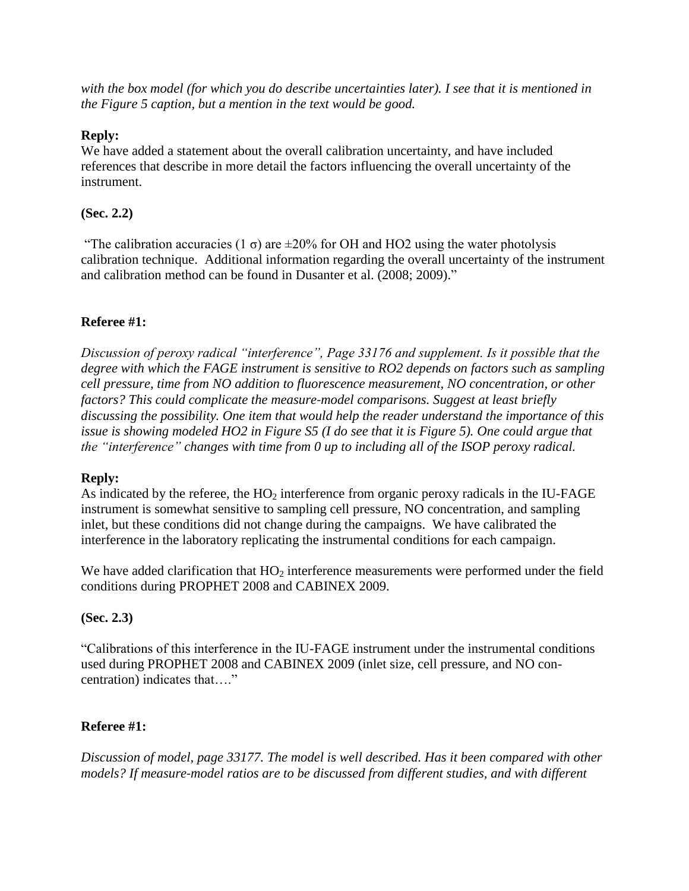*with the box model (for which you do describe uncertainties later). I see that it is mentioned in the Figure 5 caption, but a mention in the text would be good.*

### **Reply:**

We have added a statement about the overall calibration uncertainty, and have included references that describe in more detail the factors influencing the overall uncertainty of the instrument.

# **(Sec. 2.2)**

"The calibration accuracies (1  $\sigma$ ) are  $\pm 20\%$  for OH and HO2 using the water photolysis calibration technique. Additional information regarding the overall uncertainty of the instrument and calibration method can be found in Dusanter et al. (2008; 2009)."

# **Referee #1:**

*Discussion of peroxy radical "interference", Page 33176 and supplement. Is it possible that the degree with which the FAGE instrument is sensitive to RO2 depends on factors such as sampling cell pressure, time from NO addition to fluorescence measurement, NO concentration, or other factors? This could complicate the measure‐model comparisons. Suggest at least briefly discussing the possibility. One item that would help the reader understand the importance of this issue is showing modeled HO2 in Figure S5 (I do see that it is Figure 5). One could argue that the "interference" changes with time from 0 up to including all of the ISOP peroxy radical.*

### **Reply:**

As indicated by the referee, the  $HO<sub>2</sub>$  interference from organic peroxy radicals in the IU-FAGE instrument is somewhat sensitive to sampling cell pressure, NO concentration, and sampling inlet, but these conditions did not change during the campaigns. We have calibrated the interference in the laboratory replicating the instrumental conditions for each campaign.

We have added clarification that  $HO<sub>2</sub>$  interference measurements were performed under the field conditions during PROPHET 2008 and CABINEX 2009.

### **(Sec. 2.3)**

"Calibrations of this interference in the IU-FAGE instrument under the instrumental conditions used during PROPHET 2008 and CABINEX 2009 (inlet size, cell pressure, and NO concentration) indicates that…."

# **Referee #1:**

*Discussion of model, page 33177. The model is well described. Has it been compared with other models? If measure‐model ratios are to be discussed from different studies, and with different*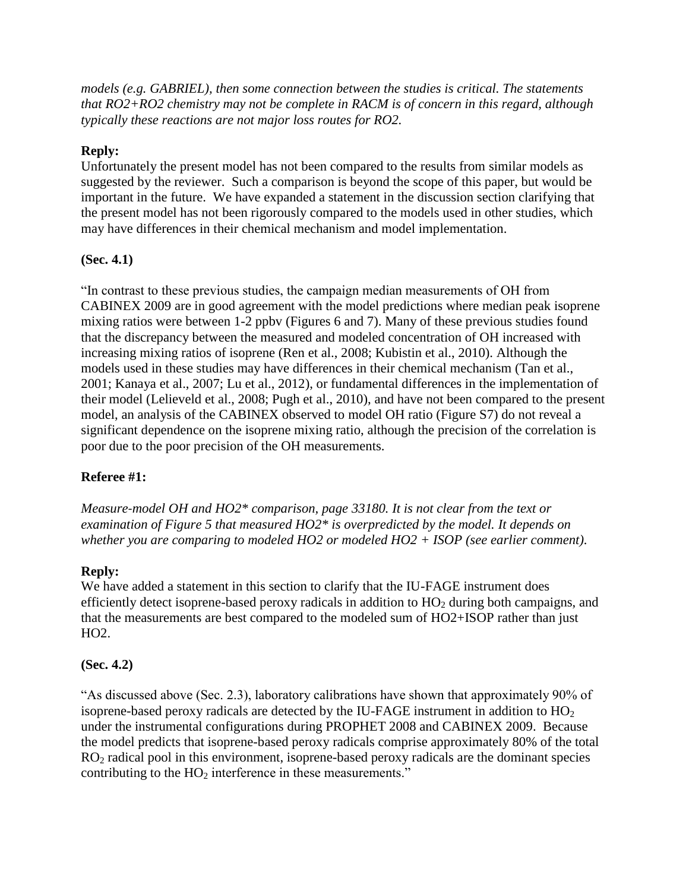*models (e.g. GABRIEL), then some connection between the studies is critical. The statements that RO2+RO2 chemistry may not be complete in RACM is of concern in this regard, although typically these reactions are not major loss routes for RO2.*

# **Reply:**

Unfortunately the present model has not been compared to the results from similar models as suggested by the reviewer. Such a comparison is beyond the scope of this paper, but would be important in the future. We have expanded a statement in the discussion section clarifying that the present model has not been rigorously compared to the models used in other studies, which may have differences in their chemical mechanism and model implementation.

# **(Sec. 4.1)**

"In contrast to these previous studies, the campaign median measurements of OH from CABINEX 2009 are in good agreement with the model predictions where median peak isoprene mixing ratios were between 1-2 ppbv (Figures 6 and 7). Many of these previous studies found that the discrepancy between the measured and modeled concentration of OH increased with increasing mixing ratios of isoprene (Ren et al., 2008; Kubistin et al., 2010). Although the models used in these studies may have differences in their chemical mechanism (Tan et al., 2001; Kanaya et al., 2007; Lu et al., 2012), or fundamental differences in the implementation of their model (Lelieveld et al., 2008; Pugh et al., 2010), and have not been compared to the present model, an analysis of the CABINEX observed to model OH ratio (Figure S7) do not reveal a significant dependence on the isoprene mixing ratio, although the precision of the correlation is poor due to the poor precision of the OH measurements.

### **Referee #1:**

*Measure‐model OH and HO2\* comparison, page 33180. It is not clear from the text or examination of Figure 5 that measured HO2\* is overpredicted by the model. It depends on whether you are comparing to modeled HO2 or modeled HO2 + ISOP (see earlier comment).*

### **Reply:**

We have added a statement in this section to clarify that the IU-FAGE instrument does efficiently detect isoprene-based peroxy radicals in addition to  $HO<sub>2</sub>$  during both campaigns, and that the measurements are best compared to the modeled sum of HO2+ISOP rather than just HO2.

### **(Sec. 4.2)**

"As discussed above (Sec. 2.3), laboratory calibrations have shown that approximately 90% of isoprene-based peroxy radicals are detected by the IU-FAGE instrument in addition to  $HO<sub>2</sub>$ under the instrumental configurations during PROPHET 2008 and CABINEX 2009. Because the model predicts that isoprene-based peroxy radicals comprise approximately 80% of the total  $RO<sub>2</sub>$  radical pool in this environment, isoprene-based peroxy radicals are the dominant species contributing to the  $HO<sub>2</sub>$  interference in these measurements."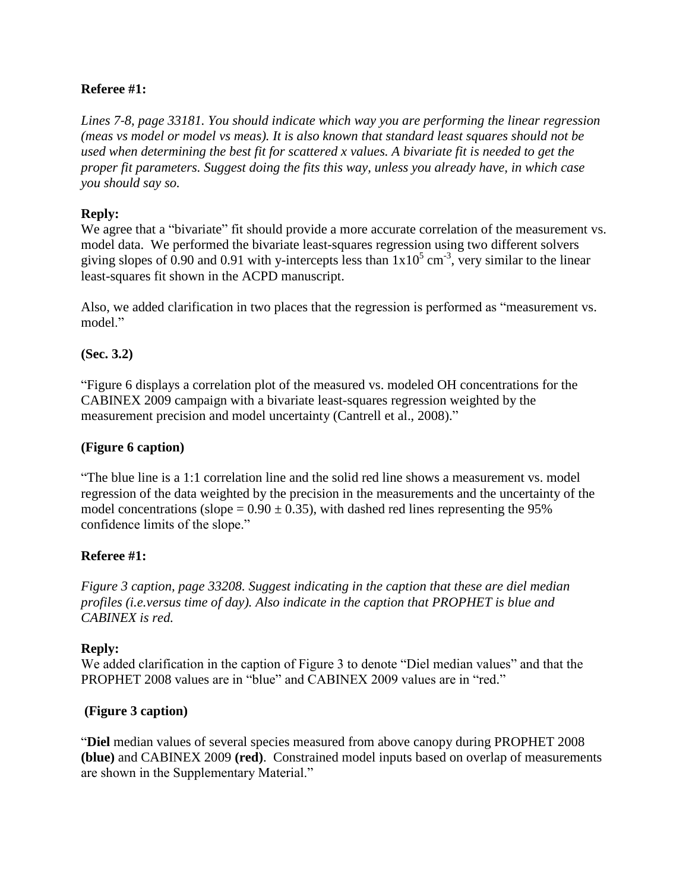## **Referee #1:**

*Lines 7‐8, page 33181. You should indicate which way you are performing the linear regression (meas vs model or model vs meas). It is also known that standard least squares should not be used when determining the best fit for scattered x values. A bivariate fit is needed to get the proper fit parameters. Suggest doing the fits this way, unless you already have, in which case you should say so.*

## **Reply:**

We agree that a "bivariate" fit should provide a more accurate correlation of the measurement vs. model data. We performed the bivariate least-squares regression using two different solvers giving slopes of 0.90 and 0.91 with y-intercepts less than  $1x10^5$  cm<sup>-3</sup>, very similar to the linear least-squares fit shown in the ACPD manuscript.

Also, we added clarification in two places that the regression is performed as "measurement vs. model."

### **(Sec. 3.2)**

"Figure 6 displays a correlation plot of the measured vs. modeled OH concentrations for the CABINEX 2009 campaign with a bivariate least-squares regression weighted by the measurement precision and model uncertainty (Cantrell et al., 2008)."

### **(Figure 6 caption)**

"The blue line is a 1:1 correlation line and the solid red line shows a measurement vs. model regression of the data weighted by the precision in the measurements and the uncertainty of the model concentrations (slope =  $0.90 \pm 0.35$ ), with dashed red lines representing the 95% confidence limits of the slope."

### **Referee #1:**

*Figure 3 caption, page 33208. Suggest indicating in the caption that these are diel median profiles (i.e.versus time of day). Also indicate in the caption that PROPHET is blue and CABINEX is red.*

### **Reply:**

We added clarification in the caption of Figure 3 to denote "Diel median values" and that the PROPHET 2008 values are in "blue" and CABINEX 2009 values are in "red."

### **(Figure 3 caption)**

"**Diel** median values of several species measured from above canopy during PROPHET 2008 **(blue)** and CABINEX 2009 **(red)**. Constrained model inputs based on overlap of measurements are shown in the Supplementary Material."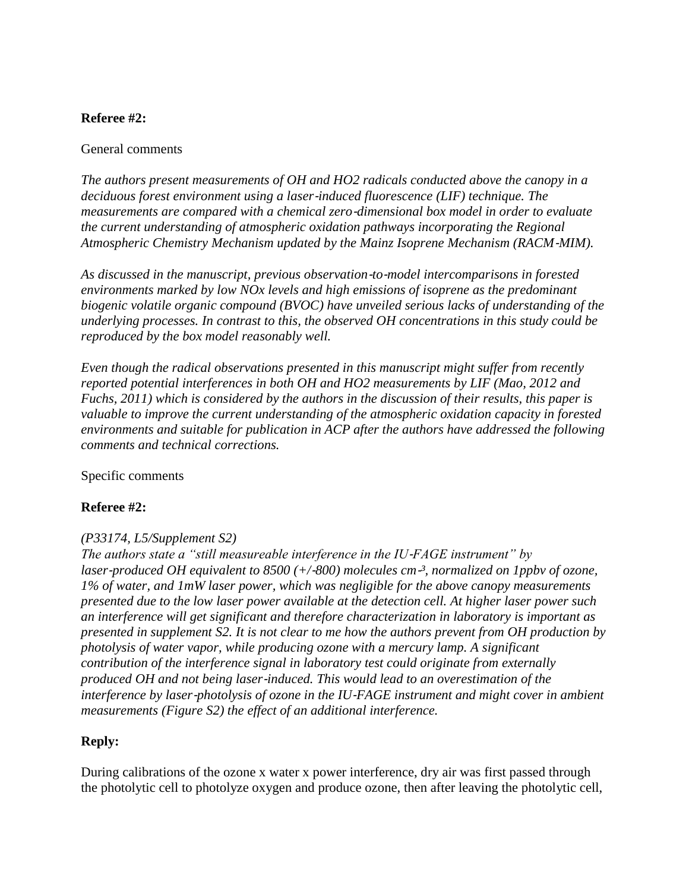### **Referee #2:**

#### General comments

*The authors present measurements of OH and HO2 radicals conducted above the canopy in a deciduous forest environment using a laser*‐*induced fluorescence (LIF) technique. The measurements are compared with a chemical zero*‐*dimensional box model in order to evaluate the current understanding of atmospheric oxidation pathways incorporating the Regional Atmospheric Chemistry Mechanism updated by the Mainz Isoprene Mechanism (RACM*‐*MIM).* 

*As discussed in the manuscript, previous observation*‐*to*‐*model intercomparisons in forested environments marked by low NOx levels and high emissions of isoprene as the predominant biogenic volatile organic compound (BVOC) have unveiled serious lacks of understanding of the underlying processes. In contrast to this, the observed OH concentrations in this study could be reproduced by the box model reasonably well.*

*Even though the radical observations presented in this manuscript might suffer from recently reported potential interferences in both OH and HO2 measurements by LIF (Mao, 2012 and Fuchs, 2011) which is considered by the authors in the discussion of their results, this paper is valuable to improve the current understanding of the atmospheric oxidation capacity in forested environments and suitable for publication in ACP after the authors have addressed the following comments and technical corrections.*

### Specific comments

### **Referee #2:**

### *(P33174, L5/Supplement S2)*

*The authors state a "still measureable interference in the IU–FAGE instrument" by laser-produced OH equivalent to 8500 (+/−800) molecules cm<sup>−3</sup>, normalized on 1ppby of ozone, 1% of water, and 1mW laser power, which was negligible for the above canopy measurements presented due to the low laser power available at the detection cell. At higher laser power such an interference will get significant and therefore characterization in laboratory is important as presented in supplement S2. It is not clear to me how the authors prevent from OH production by photolysis of water vapor, while producing ozone with a mercury lamp. A significant contribution of the interference signal in laboratory test could originate from externally produced OH and not being laser*‐*induced. This would lead to an overestimation of the interference by laser*‐*photolysis of ozone in the IU*‐*FAGE instrument and might cover in ambient measurements (Figure S2) the effect of an additional interference.*

### **Reply:**

During calibrations of the ozone x water x power interference, dry air was first passed through the photolytic cell to photolyze oxygen and produce ozone, then after leaving the photolytic cell,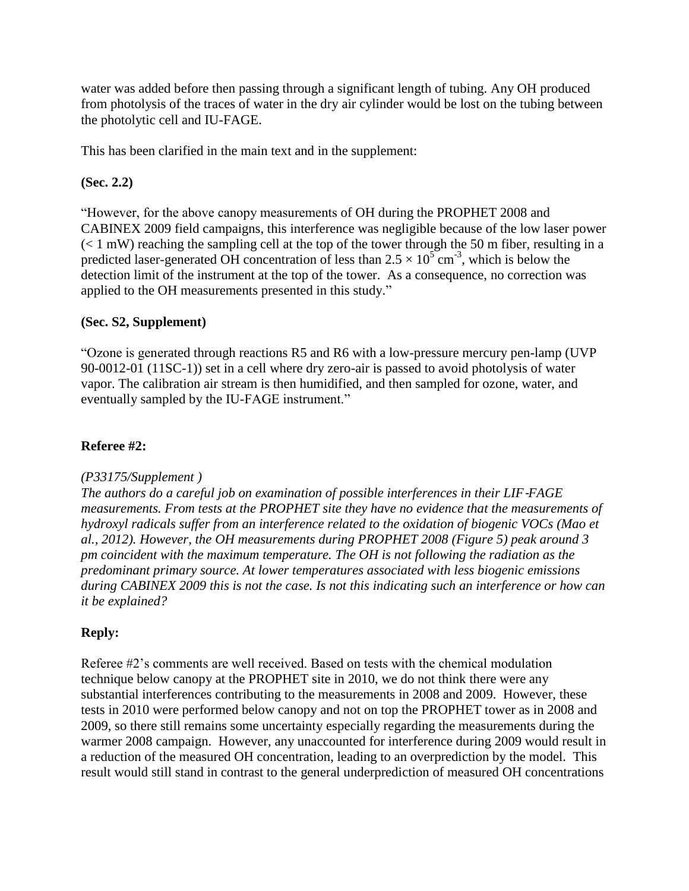water was added before then passing through a significant length of tubing. Any OH produced from photolysis of the traces of water in the dry air cylinder would be lost on the tubing between the photolytic cell and IU-FAGE.

This has been clarified in the main text and in the supplement:

### **(Sec. 2.2)**

"However, for the above canopy measurements of OH during the PROPHET 2008 and CABINEX 2009 field campaigns, this interference was negligible because of the low laser power  $(< 1$  mW) reaching the sampling cell at the top of the tower through the 50 m fiber, resulting in a predicted laser-generated OH concentration of less than  $2.5 \times 10^{5}$  cm<sup>-3</sup>, which is below the detection limit of the instrument at the top of the tower. As a consequence, no correction was applied to the OH measurements presented in this study."

# **(Sec. S2, Supplement)**

"Ozone is generated through reactions R5 and R6 with a low-pressure mercury pen-lamp (UVP 90-0012-01 (11SC-1)) set in a cell where dry zero-air is passed to avoid photolysis of water vapor. The calibration air stream is then humidified, and then sampled for ozone, water, and eventually sampled by the IU-FAGE instrument."

# **Referee #2:**

### *(P33175/Supplement )*

*The authors do a careful job on examination of possible interferences in their LIF*‐*FAGE measurements. From tests at the PROPHET site they have no evidence that the measurements of hydroxyl radicals suffer from an interference related to the oxidation of biogenic VOCs (Mao et al., 2012). However, the OH measurements during PROPHET 2008 (Figure 5) peak around 3 pm coincident with the maximum temperature. The OH is not following the radiation as the predominant primary source. At lower temperatures associated with less biogenic emissions during CABINEX 2009 this is not the case. Is not this indicating such an interference or how can it be explained?*

### **Reply:**

Referee #2's comments are well received. Based on tests with the chemical modulation technique below canopy at the PROPHET site in 2010, we do not think there were any substantial interferences contributing to the measurements in 2008 and 2009. However, these tests in 2010 were performed below canopy and not on top the PROPHET tower as in 2008 and 2009, so there still remains some uncertainty especially regarding the measurements during the warmer 2008 campaign. However, any unaccounted for interference during 2009 would result in a reduction of the measured OH concentration, leading to an overprediction by the model. This result would still stand in contrast to the general underprediction of measured OH concentrations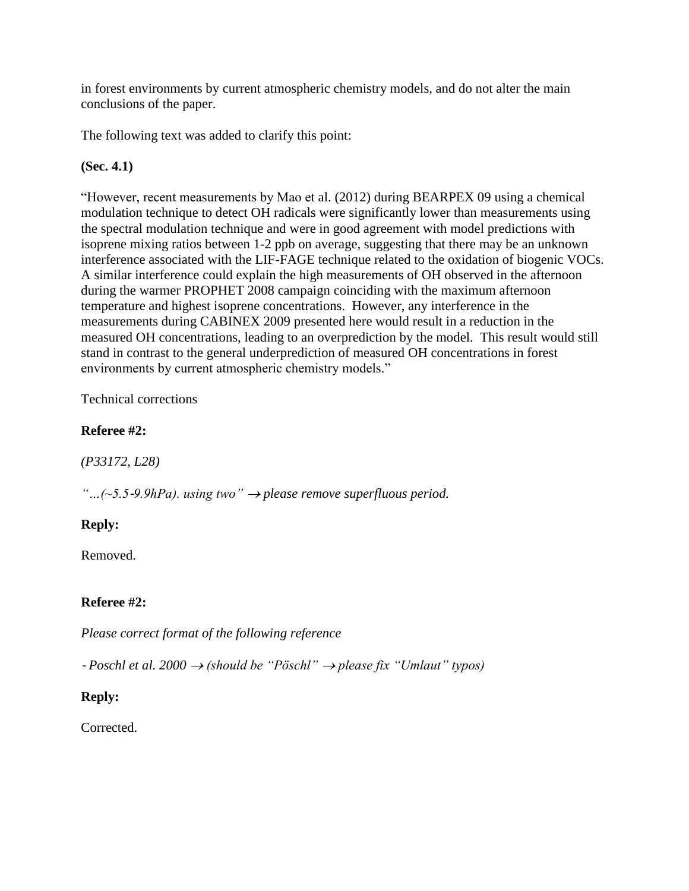in forest environments by current atmospheric chemistry models, and do not alter the main conclusions of the paper.

The following text was added to clarify this point:

# **(Sec. 4.1)**

"However, recent measurements by Mao et al. (2012) during BEARPEX 09 using a chemical modulation technique to detect OH radicals were significantly lower than measurements using the spectral modulation technique and were in good agreement with model predictions with isoprene mixing ratios between 1-2 ppb on average, suggesting that there may be an unknown interference associated with the LIF-FAGE technique related to the oxidation of biogenic VOCs. A similar interference could explain the high measurements of OH observed in the afternoon during the warmer PROPHET 2008 campaign coinciding with the maximum afternoon temperature and highest isoprene concentrations. However, any interference in the measurements during CABINEX 2009 presented here would result in a reduction in the measured OH concentrations, leading to an overprediction by the model. This result would still stand in contrast to the general underprediction of measured OH concentrations in forest environments by current atmospheric chemistry models."

# Technical corrections

# **Referee #2:**

*(P33172, L28)*

*"…(~5.5*‐*9.9hPa). using two" please remove superfluous period.*

### **Reply:**

Removed.

# **Referee #2:**

*Please correct format of the following reference*

‐ *Poschl et al. 2000 (should be "Pöschl" please fix "Umlaut" typos)*

# **Reply:**

Corrected.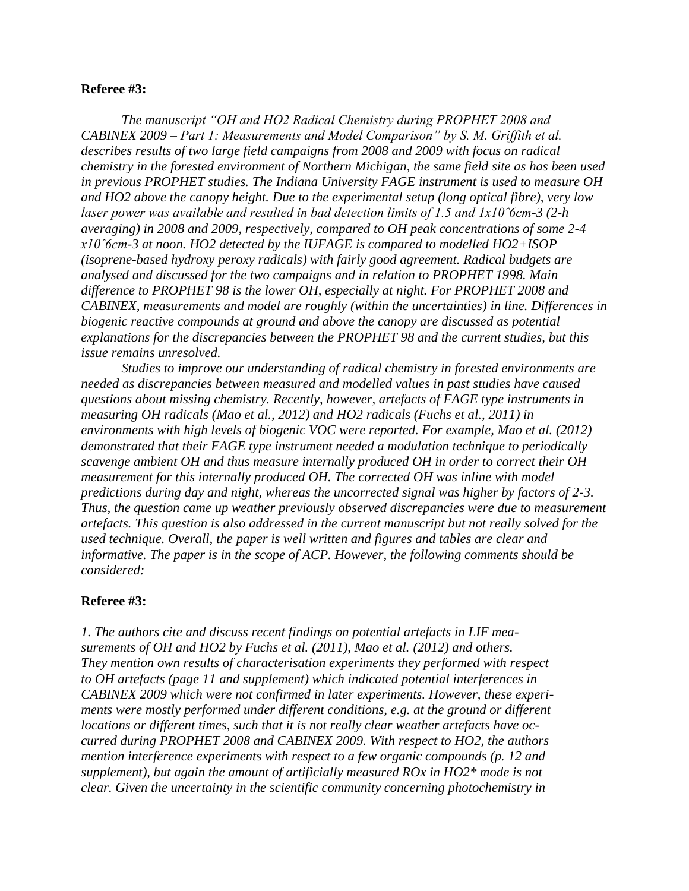#### **Referee #3:**

*The manuscript "OH and HO2 Radical Chemistry during PROPHET 2008 and CABINEX 2009 – Part 1: Measurements and Model Comparison" by S. M. Griffith et al. describes results of two large field campaigns from 2008 and 2009 with focus on radical chemistry in the forested environment of Northern Michigan, the same field site as has been used in previous PROPHET studies. The Indiana University FAGE instrument is used to measure OH and HO2 above the canopy height. Due to the experimental setup (long optical fibre), very low laser power was available and resulted in bad detection limits of 1.5 and 1x10ˆ6cm-3 (2-h averaging) in 2008 and 2009, respectively, compared to OH peak concentrations of some 2-4 x10ˆ6cm-3 at noon. HO2 detected by the IUFAGE is compared to modelled HO2+ISOP (isoprene-based hydroxy peroxy radicals) with fairly good agreement. Radical budgets are analysed and discussed for the two campaigns and in relation to PROPHET 1998. Main difference to PROPHET 98 is the lower OH, especially at night. For PROPHET 2008 and CABINEX, measurements and model are roughly (within the uncertainties) in line. Differences in biogenic reactive compounds at ground and above the canopy are discussed as potential explanations for the discrepancies between the PROPHET 98 and the current studies, but this issue remains unresolved.*

*Studies to improve our understanding of radical chemistry in forested environments are needed as discrepancies between measured and modelled values in past studies have caused questions about missing chemistry. Recently, however, artefacts of FAGE type instruments in measuring OH radicals (Mao et al., 2012) and HO2 radicals (Fuchs et al., 2011) in environments with high levels of biogenic VOC were reported. For example, Mao et al. (2012) demonstrated that their FAGE type instrument needed a modulation technique to periodically scavenge ambient OH and thus measure internally produced OH in order to correct their OH measurement for this internally produced OH. The corrected OH was inline with model predictions during day and night, whereas the uncorrected signal was higher by factors of 2-3. Thus, the question came up weather previously observed discrepancies were due to measurement artefacts. This question is also addressed in the current manuscript but not really solved for the used technique. Overall, the paper is well written and figures and tables are clear and informative. The paper is in the scope of ACP. However, the following comments should be considered:*

#### **Referee #3:**

*1. The authors cite and discuss recent findings on potential artefacts in LIF measurements of OH and HO2 by Fuchs et al. (2011), Mao et al. (2012) and others. They mention own results of characterisation experiments they performed with respect to OH artefacts (page 11 and supplement) which indicated potential interferences in CABINEX 2009 which were not confirmed in later experiments. However, these experiments were mostly performed under different conditions, e.g. at the ground or different locations or different times, such that it is not really clear weather artefacts have occurred during PROPHET 2008 and CABINEX 2009. With respect to HO2, the authors mention interference experiments with respect to a few organic compounds (p. 12 and supplement), but again the amount of artificially measured ROx in HO2\* mode is not clear. Given the uncertainty in the scientific community concerning photochemistry in*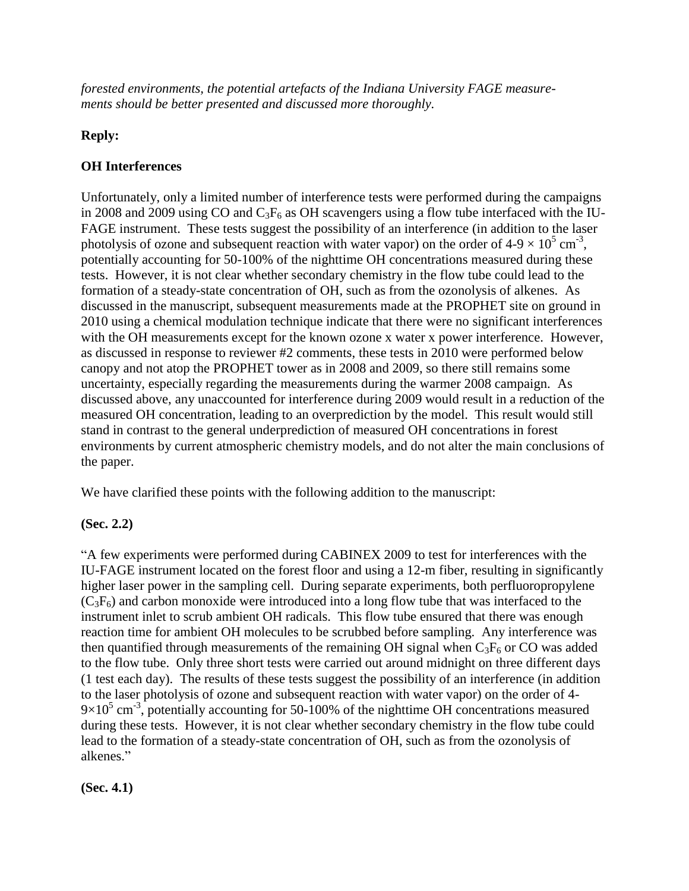*forested environments, the potential artefacts of the Indiana University FAGE measurements should be better presented and discussed more thoroughly.*

# **Reply:**

# **OH Interferences**

Unfortunately, only a limited number of interference tests were performed during the campaigns in 2008 and 2009 using CO and  $C_3F_6$  as OH scavengers using a flow tube interfaced with the IU-FAGE instrument. These tests suggest the possibility of an interference (in addition to the laser photolysis of ozone and subsequent reaction with water vapor) on the order of  $4-9 \times 10^5$  cm<sup>-3</sup>, potentially accounting for 50-100% of the nighttime OH concentrations measured during these tests. However, it is not clear whether secondary chemistry in the flow tube could lead to the formation of a steady-state concentration of OH, such as from the ozonolysis of alkenes. As discussed in the manuscript, subsequent measurements made at the PROPHET site on ground in 2010 using a chemical modulation technique indicate that there were no significant interferences with the OH measurements except for the known ozone x water x power interference. However, as discussed in response to reviewer #2 comments, these tests in 2010 were performed below canopy and not atop the PROPHET tower as in 2008 and 2009, so there still remains some uncertainty, especially regarding the measurements during the warmer 2008 campaign. As discussed above, any unaccounted for interference during 2009 would result in a reduction of the measured OH concentration, leading to an overprediction by the model. This result would still stand in contrast to the general underprediction of measured OH concentrations in forest environments by current atmospheric chemistry models, and do not alter the main conclusions of the paper.

We have clarified these points with the following addition to the manuscript:

# **(Sec. 2.2)**

"A few experiments were performed during CABINEX 2009 to test for interferences with the IU-FAGE instrument located on the forest floor and using a 12-m fiber, resulting in significantly higher laser power in the sampling cell. During separate experiments, both perfluoropropylene  $(C_3F_6)$  and carbon monoxide were introduced into a long flow tube that was interfaced to the instrument inlet to scrub ambient OH radicals. This flow tube ensured that there was enough reaction time for ambient OH molecules to be scrubbed before sampling. Any interference was then quantified through measurements of the remaining OH signal when  $C_3F_6$  or CO was added to the flow tube. Only three short tests were carried out around midnight on three different days (1 test each day). The results of these tests suggest the possibility of an interference (in addition to the laser photolysis of ozone and subsequent reaction with water vapor) on the order of 4-  $9\times10^5$  cm<sup>-3</sup>, potentially accounting for 50-100% of the nighttime OH concentrations measured during these tests. However, it is not clear whether secondary chemistry in the flow tube could lead to the formation of a steady-state concentration of OH, such as from the ozonolysis of alkenes."

**(Sec. 4.1)**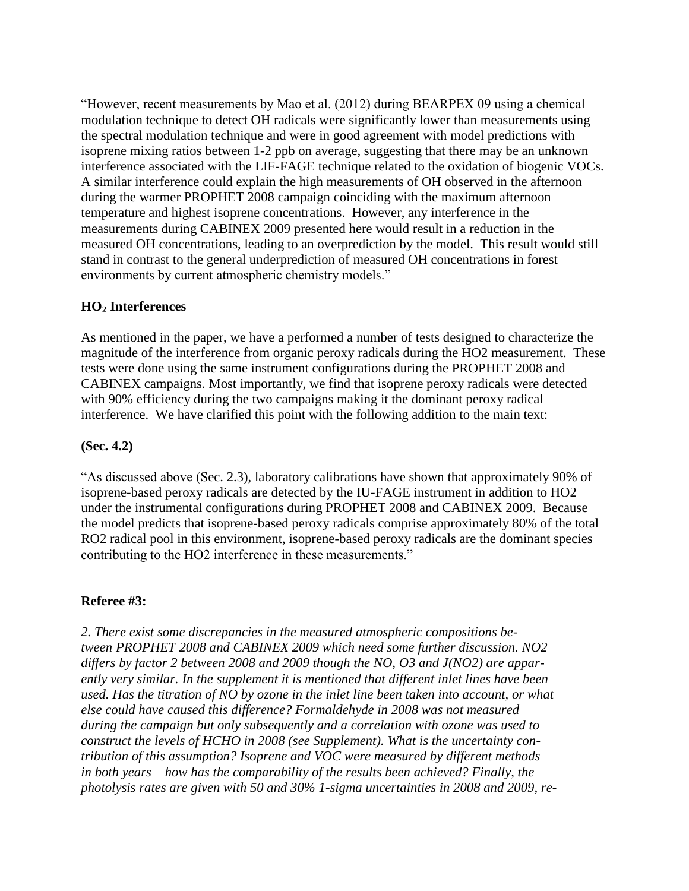"However, recent measurements by Mao et al. (2012) during BEARPEX 09 using a chemical modulation technique to detect OH radicals were significantly lower than measurements using the spectral modulation technique and were in good agreement with model predictions with isoprene mixing ratios between 1-2 ppb on average, suggesting that there may be an unknown interference associated with the LIF-FAGE technique related to the oxidation of biogenic VOCs. A similar interference could explain the high measurements of OH observed in the afternoon during the warmer PROPHET 2008 campaign coinciding with the maximum afternoon temperature and highest isoprene concentrations. However, any interference in the measurements during CABINEX 2009 presented here would result in a reduction in the measured OH concentrations, leading to an overprediction by the model. This result would still stand in contrast to the general underprediction of measured OH concentrations in forest environments by current atmospheric chemistry models."

### **HO<sup>2</sup> Interferences**

As mentioned in the paper, we have a performed a number of tests designed to characterize the magnitude of the interference from organic peroxy radicals during the HO2 measurement. These tests were done using the same instrument configurations during the PROPHET 2008 and CABINEX campaigns. Most importantly, we find that isoprene peroxy radicals were detected with 90% efficiency during the two campaigns making it the dominant peroxy radical interference. We have clarified this point with the following addition to the main text:

### **(Sec. 4.2)**

"As discussed above (Sec. 2.3), laboratory calibrations have shown that approximately 90% of isoprene-based peroxy radicals are detected by the IU-FAGE instrument in addition to HO2 under the instrumental configurations during PROPHET 2008 and CABINEX 2009. Because the model predicts that isoprene-based peroxy radicals comprise approximately 80% of the total RO2 radical pool in this environment, isoprene-based peroxy radicals are the dominant species contributing to the HO2 interference in these measurements."

### **Referee #3:**

*2. There exist some discrepancies in the measured atmospheric compositions between PROPHET 2008 and CABINEX 2009 which need some further discussion. NO2 differs by factor 2 between 2008 and 2009 though the NO, O3 and J(NO2) are apparently very similar. In the supplement it is mentioned that different inlet lines have been used. Has the titration of NO by ozone in the inlet line been taken into account, or what else could have caused this difference? Formaldehyde in 2008 was not measured during the campaign but only subsequently and a correlation with ozone was used to construct the levels of HCHO in 2008 (see Supplement). What is the uncertainty contribution of this assumption? Isoprene and VOC were measured by different methods in both years – how has the comparability of the results been achieved? Finally, the photolysis rates are given with 50 and 30% 1-sigma uncertainties in 2008 and 2009, re-*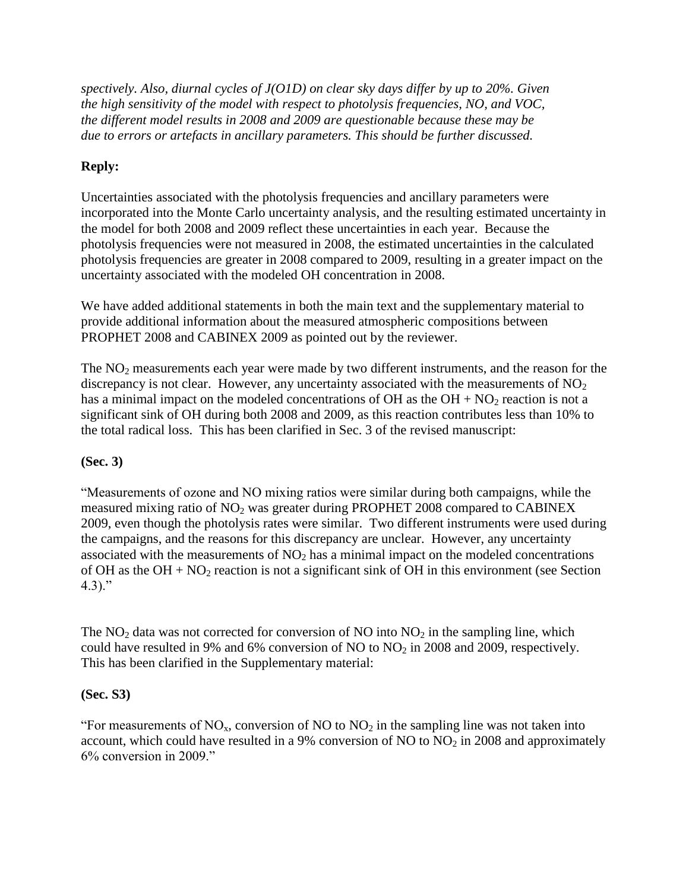*spectively. Also, diurnal cycles of J(O1D) on clear sky days differ by up to 20%. Given the high sensitivity of the model with respect to photolysis frequencies, NO, and VOC, the different model results in 2008 and 2009 are questionable because these may be due to errors or artefacts in ancillary parameters. This should be further discussed.*

# **Reply:**

Uncertainties associated with the photolysis frequencies and ancillary parameters were incorporated into the Monte Carlo uncertainty analysis, and the resulting estimated uncertainty in the model for both 2008 and 2009 reflect these uncertainties in each year. Because the photolysis frequencies were not measured in 2008, the estimated uncertainties in the calculated photolysis frequencies are greater in 2008 compared to 2009, resulting in a greater impact on the uncertainty associated with the modeled OH concentration in 2008.

We have added additional statements in both the main text and the supplementary material to provide additional information about the measured atmospheric compositions between PROPHET 2008 and CABINEX 2009 as pointed out by the reviewer.

The  $NO<sub>2</sub>$  measurements each year were made by two different instruments, and the reason for the discrepancy is not clear. However, any uncertainty associated with the measurements of  $NO<sub>2</sub>$ has a minimal impact on the modeled concentrations of OH as the  $OH + NO<sub>2</sub>$  reaction is not a significant sink of OH during both 2008 and 2009, as this reaction contributes less than 10% to the total radical loss. This has been clarified in Sec. 3 of the revised manuscript:

### **(Sec. 3)**

"Measurements of ozone and NO mixing ratios were similar during both campaigns, while the measured mixing ratio of  $NO<sub>2</sub>$  was greater during PROPHET 2008 compared to CABINEX 2009, even though the photolysis rates were similar. Two different instruments were used during the campaigns, and the reasons for this discrepancy are unclear. However, any uncertainty associated with the measurements of  $NO<sub>2</sub>$  has a minimal impact on the modeled concentrations of OH as the  $OH + NO<sub>2</sub>$  reaction is not a significant sink of OH in this environment (see Section  $4.3$ )."

The  $NO<sub>2</sub>$  data was not corrected for conversion of  $NO$  into  $NO<sub>2</sub>$  in the sampling line, which could have resulted in 9% and 6% conversion of NO to  $NO<sub>2</sub>$  in 2008 and 2009, respectively. This has been clarified in the Supplementary material:

# **(Sec. S3)**

"For measurements of  $NO_x$ , conversion of NO to  $NO_2$  in the sampling line was not taken into account, which could have resulted in a 9% conversion of NO to  $NO<sub>2</sub>$  in 2008 and approximately 6% conversion in 2009."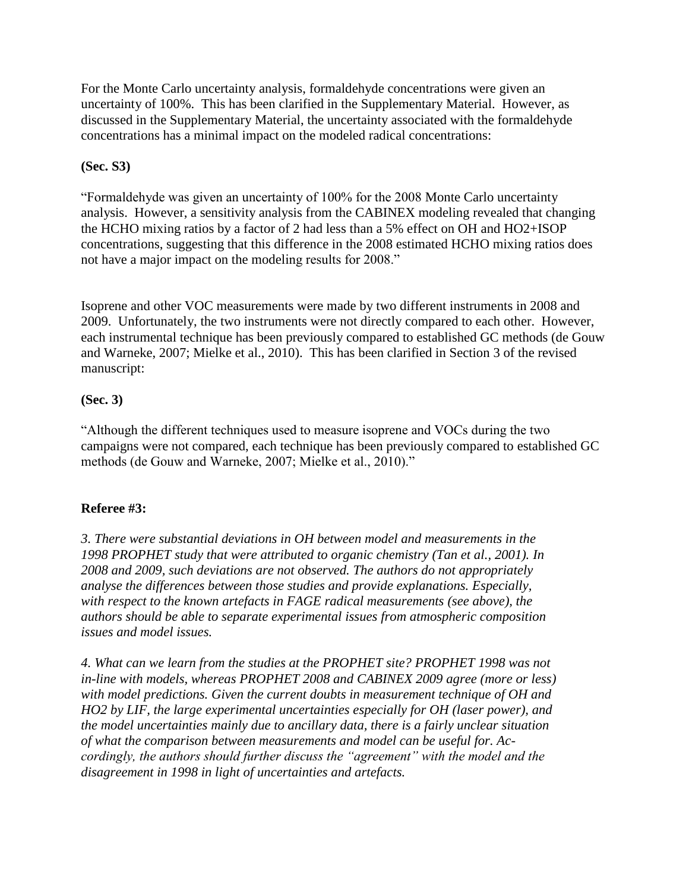For the Monte Carlo uncertainty analysis, formaldehyde concentrations were given an uncertainty of 100%. This has been clarified in the Supplementary Material. However, as discussed in the Supplementary Material, the uncertainty associated with the formaldehyde concentrations has a minimal impact on the modeled radical concentrations:

## **(Sec. S3)**

"Formaldehyde was given an uncertainty of 100% for the 2008 Monte Carlo uncertainty analysis. However, a sensitivity analysis from the CABINEX modeling revealed that changing the HCHO mixing ratios by a factor of 2 had less than a 5% effect on OH and HO2+ISOP concentrations, suggesting that this difference in the 2008 estimated HCHO mixing ratios does not have a major impact on the modeling results for 2008."

Isoprene and other VOC measurements were made by two different instruments in 2008 and 2009. Unfortunately, the two instruments were not directly compared to each other. However, each instrumental technique has been previously compared to established GC methods (de Gouw and Warneke, 2007; Mielke et al., 2010). This has been clarified in Section 3 of the revised manuscript:

### **(Sec. 3)**

"Although the different techniques used to measure isoprene and VOCs during the two campaigns were not compared, each technique has been previously compared to established GC methods (de Gouw and Warneke, 2007; Mielke et al., 2010)."

# **Referee #3:**

*3. There were substantial deviations in OH between model and measurements in the 1998 PROPHET study that were attributed to organic chemistry (Tan et al., 2001). In 2008 and 2009, such deviations are not observed. The authors do not appropriately analyse the differences between those studies and provide explanations. Especially, with respect to the known artefacts in FAGE radical measurements (see above), the authors should be able to separate experimental issues from atmospheric composition issues and model issues.*

*4. What can we learn from the studies at the PROPHET site? PROPHET 1998 was not in-line with models, whereas PROPHET 2008 and CABINEX 2009 agree (more or less) with model predictions. Given the current doubts in measurement technique of OH and HO2 by LIF, the large experimental uncertainties especially for OH (laser power), and the model uncertainties mainly due to ancillary data, there is a fairly unclear situation of what the comparison between measurements and model can be useful for. Accordingly, the authors should further discuss the "agreement" with the model and the disagreement in 1998 in light of uncertainties and artefacts.*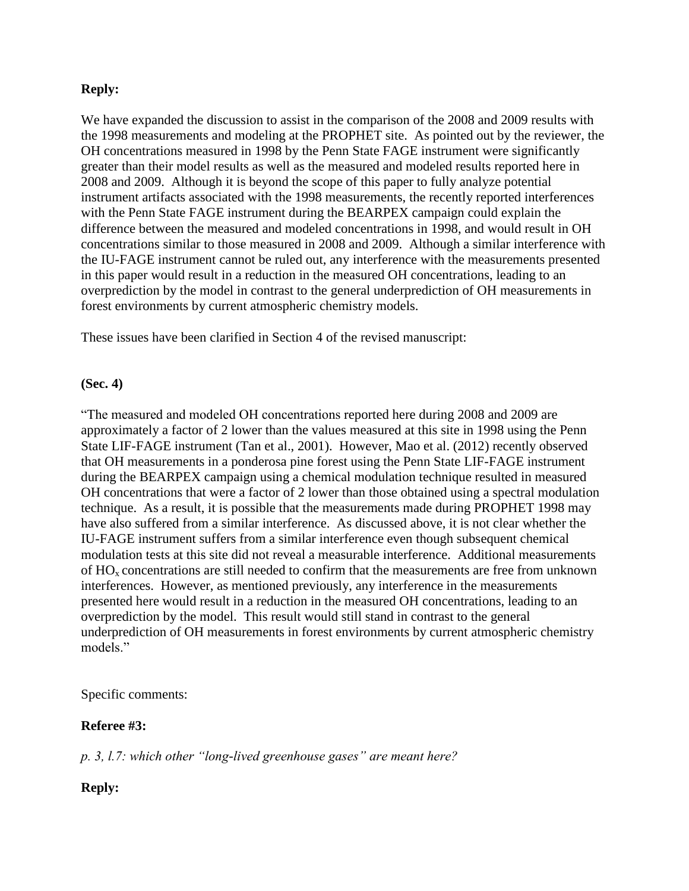### **Reply:**

We have expanded the discussion to assist in the comparison of the 2008 and 2009 results with the 1998 measurements and modeling at the PROPHET site. As pointed out by the reviewer, the OH concentrations measured in 1998 by the Penn State FAGE instrument were significantly greater than their model results as well as the measured and modeled results reported here in 2008 and 2009. Although it is beyond the scope of this paper to fully analyze potential instrument artifacts associated with the 1998 measurements, the recently reported interferences with the Penn State FAGE instrument during the BEARPEX campaign could explain the difference between the measured and modeled concentrations in 1998, and would result in OH concentrations similar to those measured in 2008 and 2009. Although a similar interference with the IU-FAGE instrument cannot be ruled out, any interference with the measurements presented in this paper would result in a reduction in the measured OH concentrations, leading to an overprediction by the model in contrast to the general underprediction of OH measurements in forest environments by current atmospheric chemistry models.

These issues have been clarified in Section 4 of the revised manuscript:

### **(Sec. 4)**

"The measured and modeled OH concentrations reported here during 2008 and 2009 are approximately a factor of 2 lower than the values measured at this site in 1998 using the Penn State LIF-FAGE instrument (Tan et al., 2001). However, Mao et al. (2012) recently observed that OH measurements in a ponderosa pine forest using the Penn State LIF-FAGE instrument during the BEARPEX campaign using a chemical modulation technique resulted in measured OH concentrations that were a factor of 2 lower than those obtained using a spectral modulation technique. As a result, it is possible that the measurements made during PROPHET 1998 may have also suffered from a similar interference. As discussed above, it is not clear whether the IU-FAGE instrument suffers from a similar interference even though subsequent chemical modulation tests at this site did not reveal a measurable interference. Additional measurements of  $HO_x$  concentrations are still needed to confirm that the measurements are free from unknown interferences. However, as mentioned previously, any interference in the measurements presented here would result in a reduction in the measured OH concentrations, leading to an overprediction by the model. This result would still stand in contrast to the general underprediction of OH measurements in forest environments by current atmospheric chemistry models"

### Specific comments:

### **Referee #3:**

*p. 3, l.7: which other "long-lived greenhouse gases" are meant here?*

### **Reply:**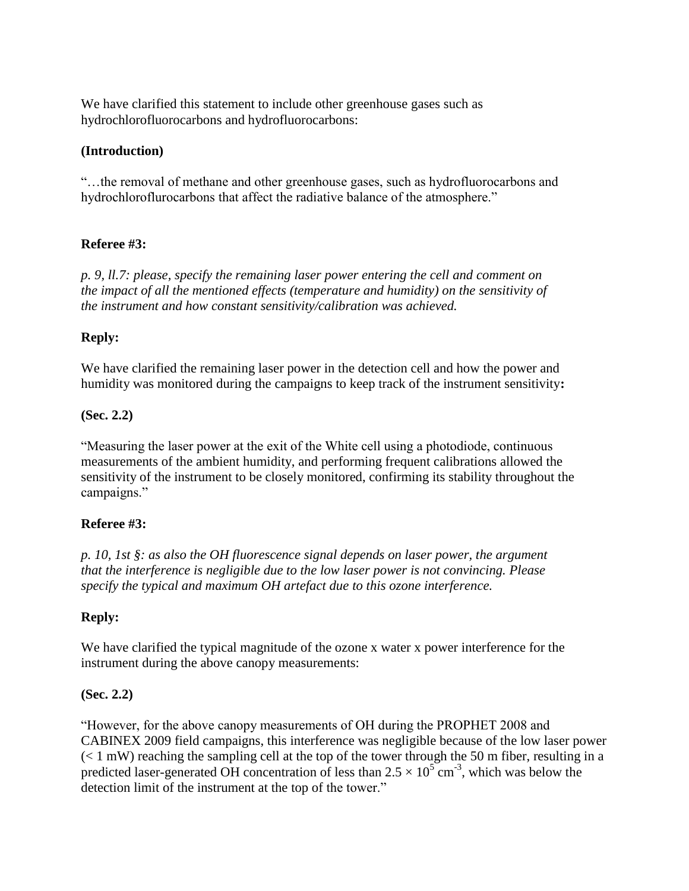We have clarified this statement to include other greenhouse gases such as hydrochlorofluorocarbons and hydrofluorocarbons:

### **(Introduction)**

"…the removal of methane and other greenhouse gases, such as hydrofluorocarbons and hydrochloroflurocarbons that affect the radiative balance of the atmosphere."

### **Referee #3:**

*p. 9, ll.7: please, specify the remaining laser power entering the cell and comment on the impact of all the mentioned effects (temperature and humidity) on the sensitivity of the instrument and how constant sensitivity/calibration was achieved.*

### **Reply:**

We have clarified the remaining laser power in the detection cell and how the power and humidity was monitored during the campaigns to keep track of the instrument sensitivity**:**

### **(Sec. 2.2)**

"Measuring the laser power at the exit of the White cell using a photodiode, continuous measurements of the ambient humidity, and performing frequent calibrations allowed the sensitivity of the instrument to be closely monitored, confirming its stability throughout the campaigns."

### **Referee #3:**

*p. 10, 1st §: as also the OH fluorescence signal depends on laser power, the argument that the interference is negligible due to the low laser power is not convincing. Please specify the typical and maximum OH artefact due to this ozone interference.*

### **Reply:**

We have clarified the typical magnitude of the ozone x water x power interference for the instrument during the above canopy measurements:

### **(Sec. 2.2)**

"However, for the above canopy measurements of OH during the PROPHET 2008 and CABINEX 2009 field campaigns, this interference was negligible because of the low laser power  $(< 1$  mW) reaching the sampling cell at the top of the tower through the 50 m fiber, resulting in a predicted laser-generated OH concentration of less than  $2.5 \times 10^{5}$  cm<sup>-3</sup>, which was below the detection limit of the instrument at the top of the tower."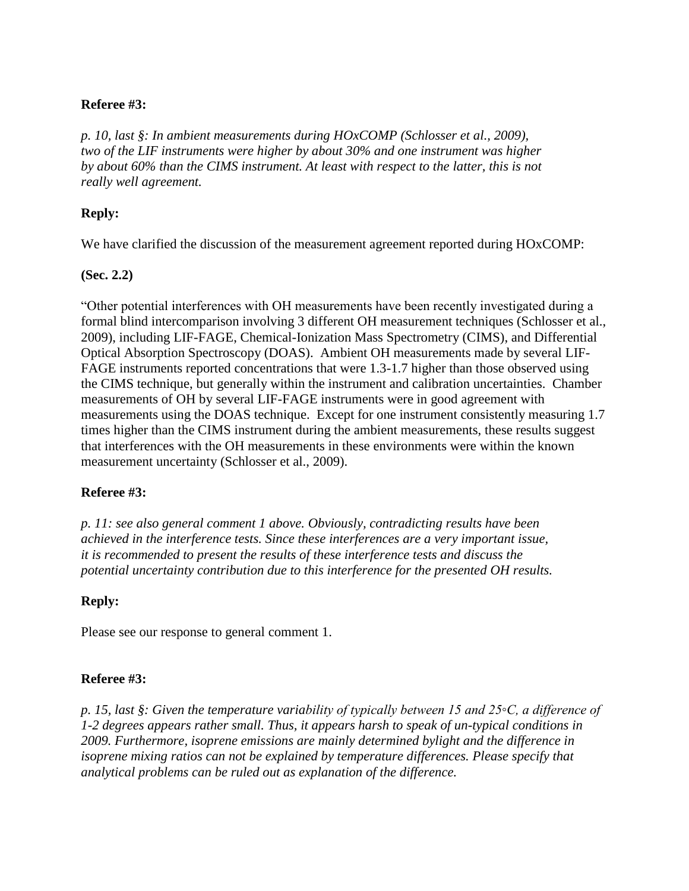### **Referee #3:**

*p. 10, last §: In ambient measurements during HOxCOMP (Schlosser et al., 2009), two of the LIF instruments were higher by about 30% and one instrument was higher by about 60% than the CIMS instrument. At least with respect to the latter, this is not really well agreement.*

### **Reply:**

We have clarified the discussion of the measurement agreement reported during HOxCOMP:

### **(Sec. 2.2)**

"Other potential interferences with OH measurements have been recently investigated during a formal blind intercomparison involving 3 different OH measurement techniques (Schlosser et al., 2009), including LIF-FAGE, Chemical-Ionization Mass Spectrometry (CIMS), and Differential Optical Absorption Spectroscopy (DOAS). Ambient OH measurements made by several LIF-FAGE instruments reported concentrations that were 1.3-1.7 higher than those observed using the CIMS technique, but generally within the instrument and calibration uncertainties. Chamber measurements of OH by several LIF-FAGE instruments were in good agreement with measurements using the DOAS technique. Except for one instrument consistently measuring 1.7 times higher than the CIMS instrument during the ambient measurements, these results suggest that interferences with the OH measurements in these environments were within the known measurement uncertainty (Schlosser et al., 2009).

### **Referee #3:**

*p. 11: see also general comment 1 above. Obviously, contradicting results have been achieved in the interference tests. Since these interferences are a very important issue, it is recommended to present the results of these interference tests and discuss the potential uncertainty contribution due to this interference for the presented OH results.*

### **Reply:**

Please see our response to general comment 1.

### **Referee #3:**

*p. 15, last §: Given the temperature variability of typically between 15 and 25◦C, a difference of 1-2 degrees appears rather small. Thus, it appears harsh to speak of un-typical conditions in 2009. Furthermore, isoprene emissions are mainly determined bylight and the difference in isoprene mixing ratios can not be explained by temperature differences. Please specify that analytical problems can be ruled out as explanation of the difference.*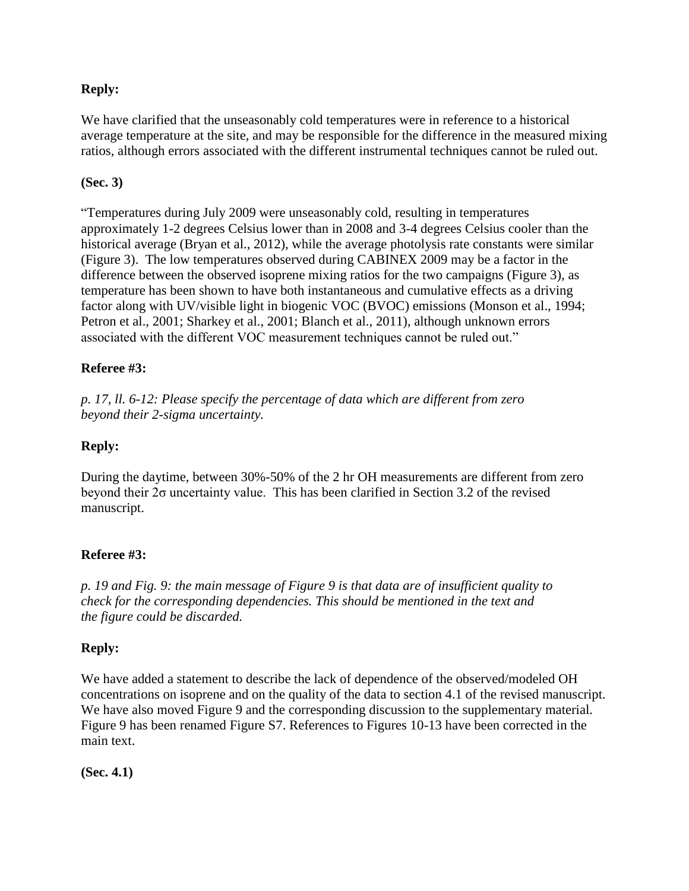## **Reply:**

We have clarified that the unseasonably cold temperatures were in reference to a historical average temperature at the site, and may be responsible for the difference in the measured mixing ratios, although errors associated with the different instrumental techniques cannot be ruled out.

### **(Sec. 3)**

"Temperatures during July 2009 were unseasonably cold, resulting in temperatures approximately 1-2 degrees Celsius lower than in 2008 and 3-4 degrees Celsius cooler than the historical average (Bryan et al., 2012), while the average photolysis rate constants were similar (Figure 3). The low temperatures observed during CABINEX 2009 may be a factor in the difference between the observed isoprene mixing ratios for the two campaigns (Figure 3), as temperature has been shown to have both instantaneous and cumulative effects as a driving factor along with UV/visible light in biogenic VOC (BVOC) emissions (Monson et al., 1994; Petron et al., 2001; Sharkey et al., 2001; Blanch et al., 2011), although unknown errors associated with the different VOC measurement techniques cannot be ruled out."

### **Referee #3:**

*p. 17, ll. 6-12: Please specify the percentage of data which are different from zero beyond their 2-sigma uncertainty.*

## **Reply:**

During the daytime, between 30%-50% of the 2 hr OH measurements are different from zero beyond their 2σ uncertainty value. This has been clarified in Section 3.2 of the revised manuscript.

### **Referee #3:**

*p. 19 and Fig. 9: the main message of Figure 9 is that data are of insufficient quality to check for the corresponding dependencies. This should be mentioned in the text and the figure could be discarded.*

### **Reply:**

We have added a statement to describe the lack of dependence of the observed/modeled OH concentrations on isoprene and on the quality of the data to section 4.1 of the revised manuscript. We have also moved Figure 9 and the corresponding discussion to the supplementary material. Figure 9 has been renamed Figure S7. References to Figures 10-13 have been corrected in the main text.

**(Sec. 4.1)**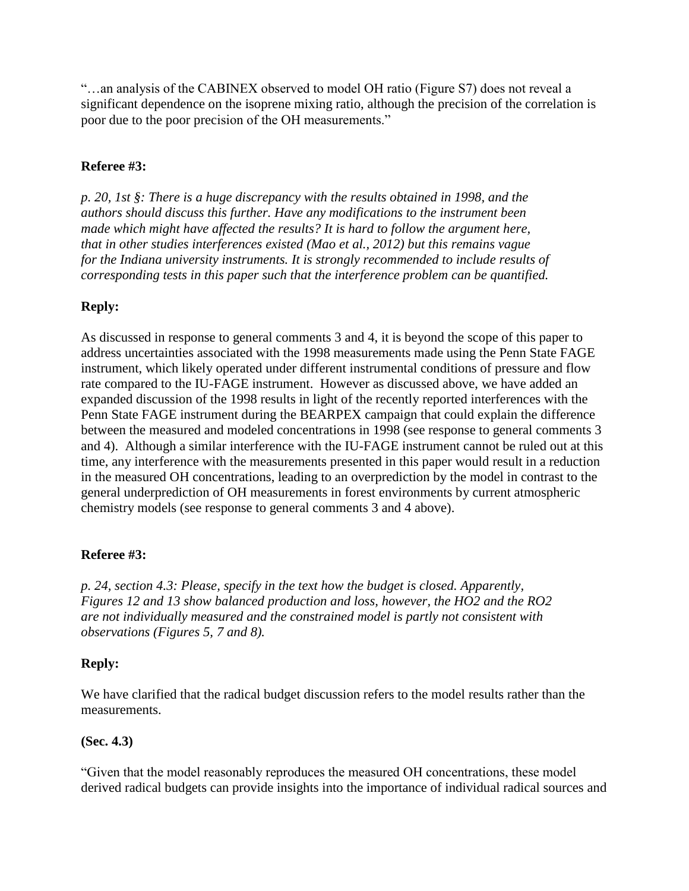"…an analysis of the CABINEX observed to model OH ratio (Figure S7) does not reveal a significant dependence on the isoprene mixing ratio, although the precision of the correlation is poor due to the poor precision of the OH measurements."

# **Referee #3:**

*p. 20, 1st §: There is a huge discrepancy with the results obtained in 1998, and the authors should discuss this further. Have any modifications to the instrument been made which might have affected the results? It is hard to follow the argument here, that in other studies interferences existed (Mao et al., 2012) but this remains vague for the Indiana university instruments. It is strongly recommended to include results of corresponding tests in this paper such that the interference problem can be quantified.*

# **Reply:**

As discussed in response to general comments 3 and 4, it is beyond the scope of this paper to address uncertainties associated with the 1998 measurements made using the Penn State FAGE instrument, which likely operated under different instrumental conditions of pressure and flow rate compared to the IU-FAGE instrument. However as discussed above, we have added an expanded discussion of the 1998 results in light of the recently reported interferences with the Penn State FAGE instrument during the BEARPEX campaign that could explain the difference between the measured and modeled concentrations in 1998 (see response to general comments 3 and 4). Although a similar interference with the IU-FAGE instrument cannot be ruled out at this time, any interference with the measurements presented in this paper would result in a reduction in the measured OH concentrations, leading to an overprediction by the model in contrast to the general underprediction of OH measurements in forest environments by current atmospheric chemistry models (see response to general comments 3 and 4 above).

### **Referee #3:**

*p. 24, section 4.3: Please, specify in the text how the budget is closed. Apparently, Figures 12 and 13 show balanced production and loss, however, the HO2 and the RO2 are not individually measured and the constrained model is partly not consistent with observations (Figures 5, 7 and 8).*

### **Reply:**

We have clarified that the radical budget discussion refers to the model results rather than the measurements.

### **(Sec. 4.3)**

"Given that the model reasonably reproduces the measured OH concentrations, these model derived radical budgets can provide insights into the importance of individual radical sources and